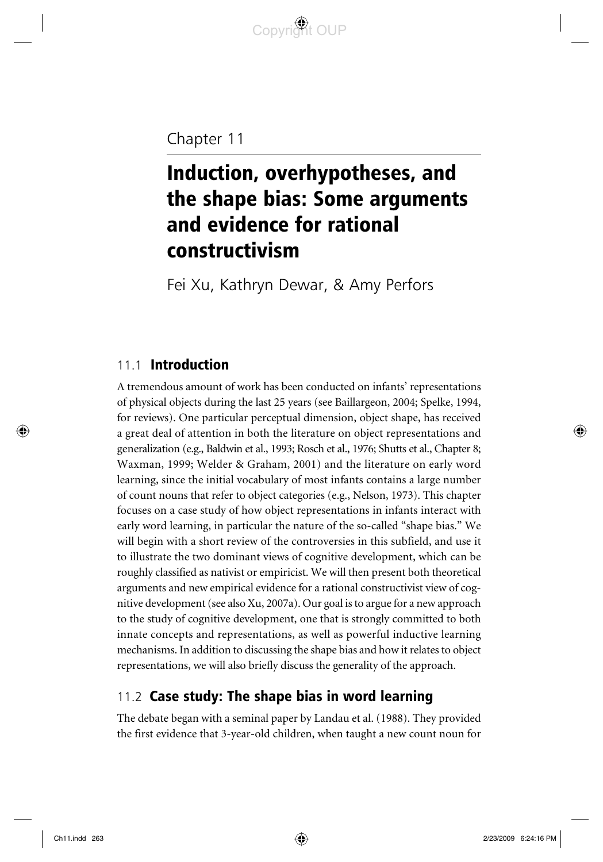# Chapter 11

# Induction, overhypotheses, and the shape bias: Some arguments and evidence for rational constructivism

Fei Xu, Kathryn Dewar, & Amy Perfors

### 11.1 **Introduction**

A tremendous amount of work has been conducted on infants' representations of physical objects during the last 25 years (see Baillargeon, 2004; Spelke, 1994, for reviews). One particular perceptual dimension, object shape, has received a great deal of attention in both the literature on object representations and generalization (e.g., Baldwin et al., 1993; Rosch et al., 1976; Shutts et al., Chapter 8; Waxman, 1999; Welder & Graham, 2001) and the literature on early word learning, since the initial vocabulary of most infants contains a large number of count nouns that refer to object categories (e.g., Nelson, 1973). This chapter focuses on a case study of how object representations in infants interact with early word learning, in particular the nature of the so-called "shape bias." We will begin with a short review of the controversies in this subfield, and use it to illustrate the two dominant views of cognitive development, which can be roughly classified as nativist or empiricist. We will then present both theoretical arguments and new empirical evidence for a rational constructivist view of cognitive development (see also Xu, 2007a). Our goal is to argue for a new approach to the study of cognitive development, one that is strongly committed to both innate concepts and representations, as well as powerful inductive learning mechanisms. In addition to discussing the shape bias and how it relates to object representations, we will also briefly discuss the generality of the approach.

# 11.2 Case study: The shape bias in word learning

The debate began with a seminal paper by Landau et al. (1988). They provided the first evidence that 3-year-old children, when taught a new count noun for

◈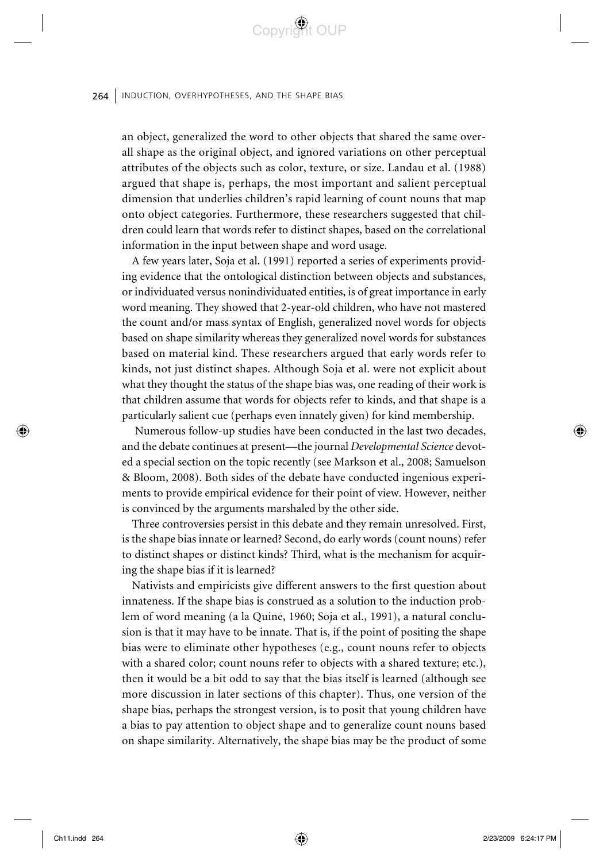an object, generalized the word to other objects that shared the same overall shape as the original object, and ignored variations on other perceptual attributes of the objects such as color, texture, or size. Landau et al. (1988) argued that shape is, perhaps, the most important and salient perceptual dimension that underlies children's rapid learning of count nouns that map onto object categories. Furthermore, these researchers suggested that children could learn that words refer to distinct shapes, based on the correlational information in the input between shape and word usage.

Convrict OUP

A few years later, Soja et al. (1991) reported a series of experiments providing evidence that the ontological distinction between objects and substances, or individuated versus nonindividuated entities, is of great importance in early word meaning. They showed that 2-year-old children, who have not mastered the count and/or mass syntax of English, generalized novel words for objects based on shape similarity whereas they generalized novel words for substances based on material kind. These researchers argued that early words refer to kinds, not just distinct shapes. Although Soja et al. were not explicit about what they thought the status of the shape bias was, one reading of their work is that children assume that words for objects refer to kinds, and that shape is a particularly salient cue (perhaps even innately given) for kind membership.

 Numerous follow-up studies have been conducted in the last two decades, and the debate continues at present—the journal *Developmental Science* devoted a special section on the topic recently (see Markson et al., 2008; Samuelson & Bloom, 2008). Both sides of the debate have conducted ingenious experiments to provide empirical evidence for their point of view. However, neither is convinced by the arguments marshaled by the other side.

Three controversies persist in this debate and they remain unresolved. First, is the shape bias innate or learned? Second, do early words (count nouns) refer to distinct shapes or distinct kinds? Third, what is the mechanism for acquiring the shape bias if it is learned?

Nativists and empiricists give different answers to the first question about innateness. If the shape bias is construed as a solution to the induction problem of word meaning (a la Quine, 1960; Soja et al., 1991), a natural conclusion is that it may have to be innate. That is, if the point of positing the shape bias were to eliminate other hypotheses (e.g., count nouns refer to objects with a shared color; count nouns refer to objects with a shared texture; etc.), then it would be a bit odd to say that the bias itself is learned (although see more discussion in later sections of this chapter). Thus, one version of the shape bias, perhaps the strongest version, is to posit that young children have a bias to pay attention to object shape and to generalize count nouns based on shape similarity. Alternatively, the shape bias may be the product of some

⊕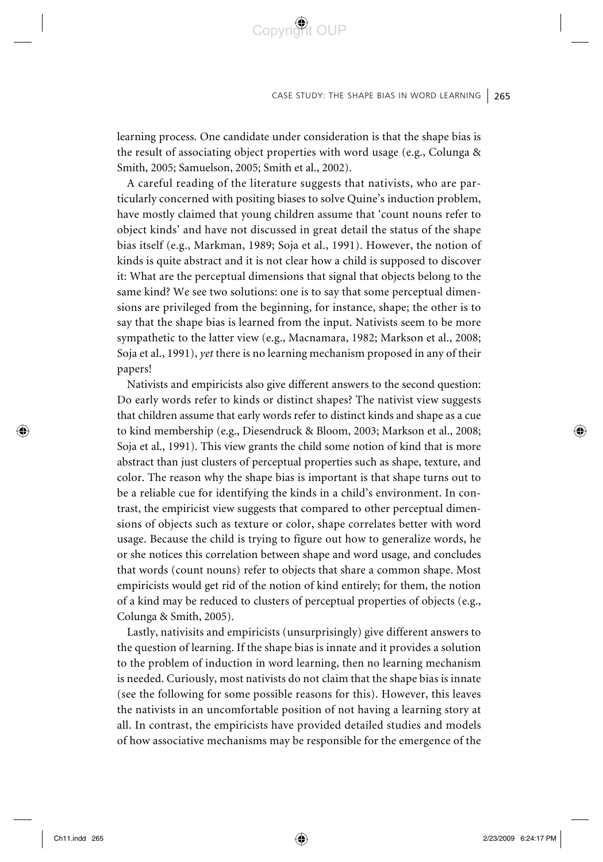learning process. One candidate under consideration is that the shape bias is the result of associating object properties with word usage (e.g., Colunga & Smith, 2005; Samuelson, 2005; Smith et al., 2002).

Copyright OUP

A careful reading of the literature suggests that nativists, who are particularly concerned with positing biases to solve Quine's induction problem, have mostly claimed that young children assume that 'count nouns refer to object kinds' and have not discussed in great detail the status of the shape bias itself (e.g., Markman, 1989; Soja et al., 1991). However, the notion of kinds is quite abstract and it is not clear how a child is supposed to discover it: What are the perceptual dimensions that signal that objects belong to the same kind? We see two solutions: one is to say that some perceptual dimensions are privileged from the beginning, for instance, shape; the other is to say that the shape bias is learned from the input. Nativists seem to be more sympathetic to the latter view (e.g., Macnamara, 1982; Markson et al., 2008; Soja et al., 1991), *yet* there is no learning mechanism proposed in any of their papers!

Nativists and empiricists also give different answers to the second question: Do early words refer to kinds or distinct shapes? The nativist view suggests that children assume that early words refer to distinct kinds and shape as a cue to kind membership (e.g., Diesendruck & Bloom, 2003; Markson et al., 2008; Soja et al., 1991). This view grants the child some notion of kind that is more abstract than just clusters of perceptual properties such as shape, texture, and color. The reason why the shape bias is important is that shape turns out to be a reliable cue for identifying the kinds in a child's environment. In contrast, the empiricist view suggests that compared to other perceptual dimensions of objects such as texture or color, shape correlates better with word usage. Because the child is trying to figure out how to generalize words, he or she notices this correlation between shape and word usage, and concludes that words (count nouns) refer to objects that share a common shape. Most empiricists would get rid of the notion of kind entirely; for them, the notion of a kind may be reduced to clusters of perceptual properties of objects (e.g., Colunga & Smith, 2005).

Lastly, nativisits and empiricists (unsurprisingly) give different answers to the question of learning. If the shape bias is innate and it provides a solution to the problem of induction in word learning, then no learning mechanism is needed. Curiously, most nativists do not claim that the shape bias is innate (see the following for some possible reasons for this). However, this leaves the nativists in an uncomfortable position of not having a learning story at all. In contrast, the empiricists have provided detailed studies and models of how associative mechanisms may be responsible for the emergence of the

⊕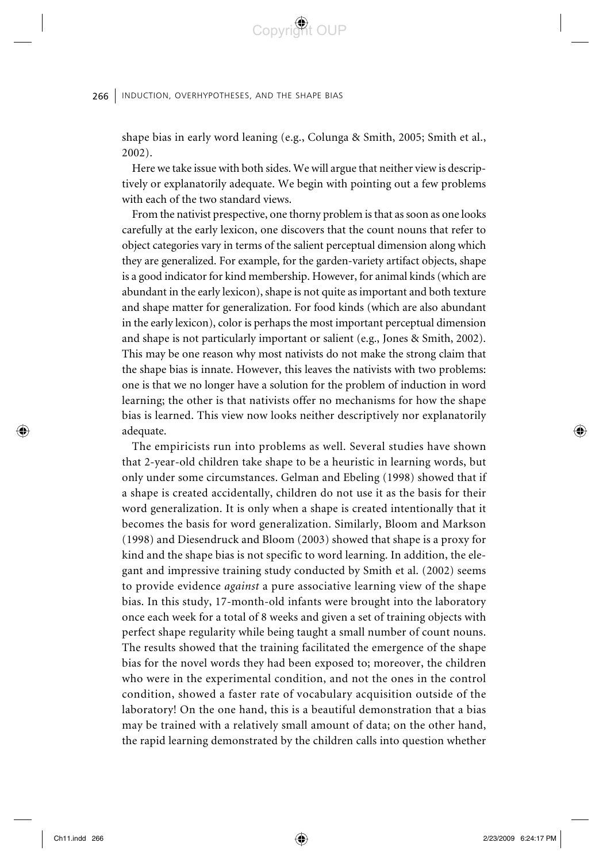shape bias in early word leaning (e.g., Colunga & Smith, 2005; Smith et al., 2002).

Convrict OUP

Here we take issue with both sides. We will argue that neither view is descriptively or explanatorily adequate. We begin with pointing out a few problems with each of the two standard views.

From the nativist prespective, one thorny problem is that as soon as one looks carefully at the early lexicon, one discovers that the count nouns that refer to object categories vary in terms of the salient perceptual dimension along which they are generalized. For example, for the garden-variety artifact objects, shape is a good indicator for kind membership. However, for animal kinds (which are abundant in the early lexicon), shape is not quite as important and both texture and shape matter for generalization. For food kinds (which are also abundant in the early lexicon), color is perhaps the most important perceptual dimension and shape is not particularly important or salient (e.g., Jones & Smith, 2002). This may be one reason why most nativists do not make the strong claim that the shape bias is innate. However, this leaves the nativists with two problems: one is that we no longer have a solution for the problem of induction in word learning; the other is that nativists offer no mechanisms for how the shape bias is learned. This view now looks neither descriptively nor explanatorily adequate.

The empiricists run into problems as well. Several studies have shown that 2-year-old children take shape to be a heuristic in learning words, but only under some circumstances. Gelman and Ebeling (1998) showed that if a shape is created accidentally, children do not use it as the basis for their word generalization. It is only when a shape is created intentionally that it becomes the basis for word generalization. Similarly, Bloom and Markson (1998) and Diesendruck and Bloom (2003) showed that shape is a proxy for kind and the shape bias is not specific to word learning. In addition, the elegant and impressive training study conducted by Smith et al. (2002) seems to provide evidence *against* a pure associative learning view of the shape bias. In this study, 17-month-old infants were brought into the laboratory once each week for a total of 8 weeks and given a set of training objects with perfect shape regularity while being taught a small number of count nouns. The results showed that the training facilitated the emergence of the shape bias for the novel words they had been exposed to; moreover, the children who were in the experimental condition, and not the ones in the control condition, showed a faster rate of vocabulary acquisition outside of the laboratory! On the one hand, this is a beautiful demonstration that a bias may be trained with a relatively small amount of data; on the other hand, the rapid learning demonstrated by the children calls into question whether

⊕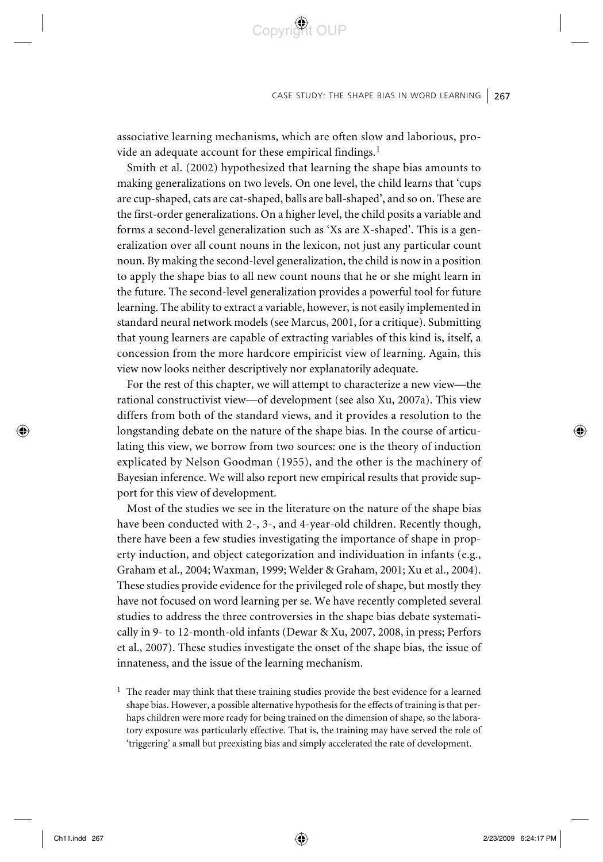associative learning mechanisms, which are often slow and laborious, provide an adequate account for these empirical findings.<sup>1</sup>

Copyright OUP

Smith et al. (2002) hypothesized that learning the shape bias amounts to making generalizations on two levels. On one level, the child learns that 'cups are cup-shaped, cats are cat-shaped, balls are ball-shaped', and so on. These are the first-order generalizations. On a higher level, the child posits a variable and forms a second-level generalization such as 'Xs are X-shaped'. This is a generalization over all count nouns in the lexicon, not just any particular count noun. By making the second-level generalization, the child is now in a position to apply the shape bias to all new count nouns that he or she might learn in the future. The second-level generalization provides a powerful tool for future learning. The ability to extract a variable, however, is not easily implemented in standard neural network models (see Marcus, 2001, for a critique). Submitting that young learners are capable of extracting variables of this kind is, itself, a concession from the more hardcore empiricist view of learning. Again, this view now looks neither descriptively nor explanatorily adequate.

For the rest of this chapter, we will attempt to characterize a new view—the rational constructivist view—of development (see also Xu, 2007a). This view differs from both of the standard views, and it provides a resolution to the longstanding debate on the nature of the shape bias. In the course of articulating this view, we borrow from two sources: one is the theory of induction explicated by Nelson Goodman (1955), and the other is the machinery of Bayesian inference. We will also report new empirical results that provide support for this view of development.

Most of the studies we see in the literature on the nature of the shape bias have been conducted with 2-, 3-, and 4-year-old children. Recently though, there have been a few studies investigating the importance of shape in property induction, and object categorization and individuation in infants (e.g., Graham et al., 2004; Waxman, 1999; Welder & Graham, 2001; Xu et al., 2004). These studies provide evidence for the privileged role of shape, but mostly they have not focused on word learning per se. We have recently completed several studies to address the three controversies in the shape bias debate systematically in 9- to 12-month-old infants (Dewar & Xu, 2007, 2008, in press; Perfors et al., 2007). These studies investigate the onset of the shape bias, the issue of innateness, and the issue of the learning mechanism.

 $<sup>1</sup>$  The reader may think that these training studies provide the best evidence for a learned</sup> shape bias. However, a possible alternative hypothesis for the effects of training is that perhaps children were more ready for being trained on the dimension of shape, so the laboratory exposure was particularly effective. That is, the training may have served the role of 'triggering' a small but preexisting bias and simply accelerated the rate of development.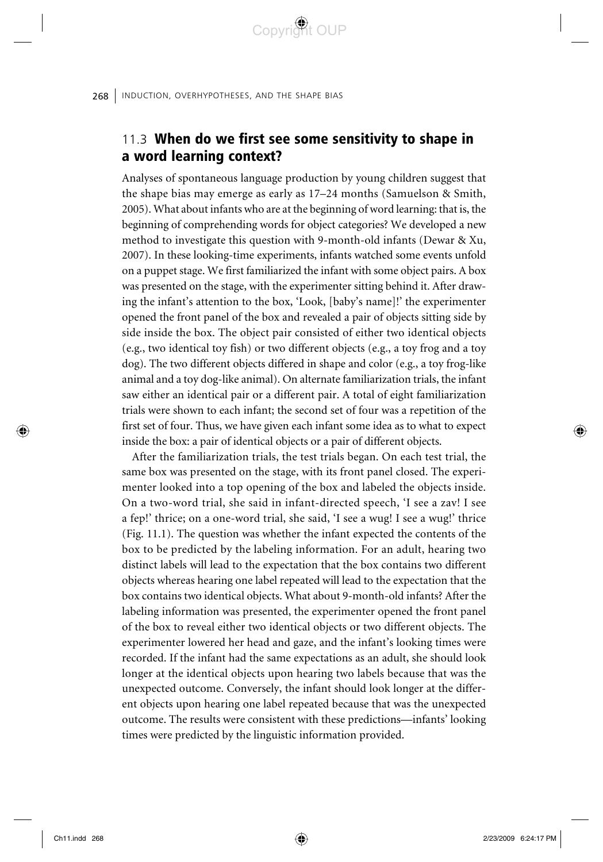## 11.3 When do we first see some sensitivity to shape in a word learning context?

Analyses of spontaneous language production by young children suggest that the shape bias may emerge as early as 17–24 months (Samuelson & Smith, 2005). What about infants who are at the beginning of word learning: that is, the beginning of comprehending words for object categories? We developed a new method to investigate this question with 9-month-old infants (Dewar & Xu, 2007). In these looking-time experiments, infants watched some events unfold on a puppet stage. We first familiarized the infant with some object pairs. A box was presented on the stage, with the experimenter sitting behind it. After drawing the infant's attention to the box, 'Look, [baby's name]!' the experimenter opened the front panel of the box and revealed a pair of objects sitting side by side inside the box. The object pair consisted of either two identical objects (e.g., two identical toy fish) or two different objects (e.g., a toy frog and a toy dog). The two different objects differed in shape and color (e.g., a toy frog-like animal and a toy dog-like animal). On alternate familiarization trials, the infant saw either an identical pair or a different pair. A total of eight familiarization trials were shown to each infant; the second set of four was a repetition of the first set of four. Thus, we have given each infant some idea as to what to expect inside the box: a pair of identical objects or a pair of different objects.

After the familiarization trials, the test trials began. On each test trial, the same box was presented on the stage, with its front panel closed. The experimenter looked into a top opening of the box and labeled the objects inside. On a two-word trial, she said in infant-directed speech, 'I see a zav! I see a fep!' thrice; on a one-word trial, she said, 'I see a wug! I see a wug!' thrice (Fig. 11.1). The question was whether the infant expected the contents of the box to be predicted by the labeling information. For an adult, hearing two distinct labels will lead to the expectation that the box contains two different objects whereas hearing one label repeated will lead to the expectation that the box contains two identical objects. What about 9-month-old infants? After the labeling information was presented, the experimenter opened the front panel of the box to reveal either two identical objects or two different objects. The experimenter lowered her head and gaze, and the infant's looking times were recorded. If the infant had the same expectations as an adult, she should look longer at the identical objects upon hearing two labels because that was the unexpected outcome. Conversely, the infant should look longer at the different objects upon hearing one label repeated because that was the unexpected outcome. The results were consistent with these predictions—infants' looking times were predicted by the linguistic information provided.

⊕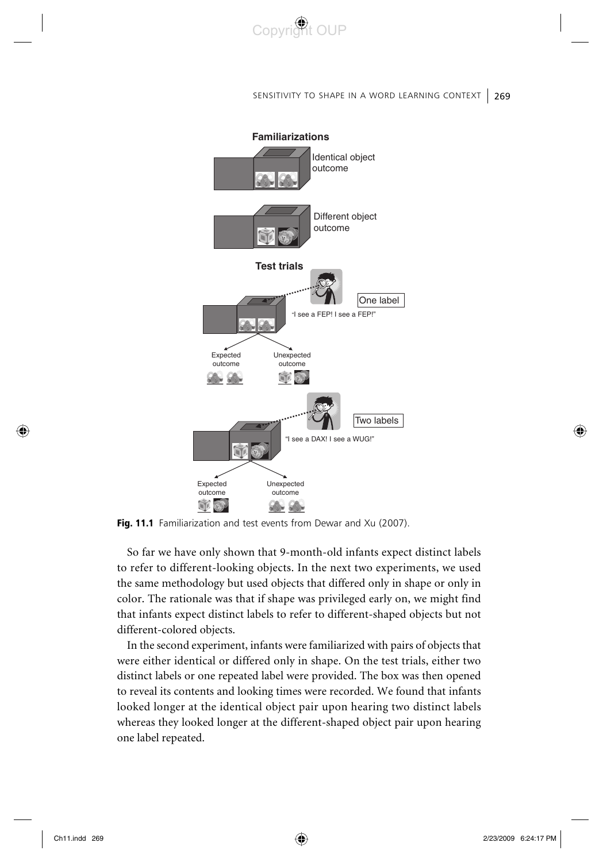

#### SENSITIVITY TO SHAPE IN A WORD LEARNING CONTEXT | 269



Fig. 11.1 Familiarization and test events from Dewar and Xu (2007).

So far we have only shown that 9-month-old infants expect distinct labels to refer to different-looking objects. In the next two experiments, we used the same methodology but used objects that differed only in shape or only in color. The rationale was that if shape was privileged early on, we might find that infants expect distinct labels to refer to different-shaped objects but not different-colored objects.

In the second experiment, infants were familiarized with pairs of objects that were either identical or differed only in shape. On the test trials, either two distinct labels or one repeated label were provided. The box was then opened to reveal its contents and looking times were recorded. We found that infants looked longer at the identical object pair upon hearing two distinct labels whereas they looked longer at the different-shaped object pair upon hearing one label repeated.

◈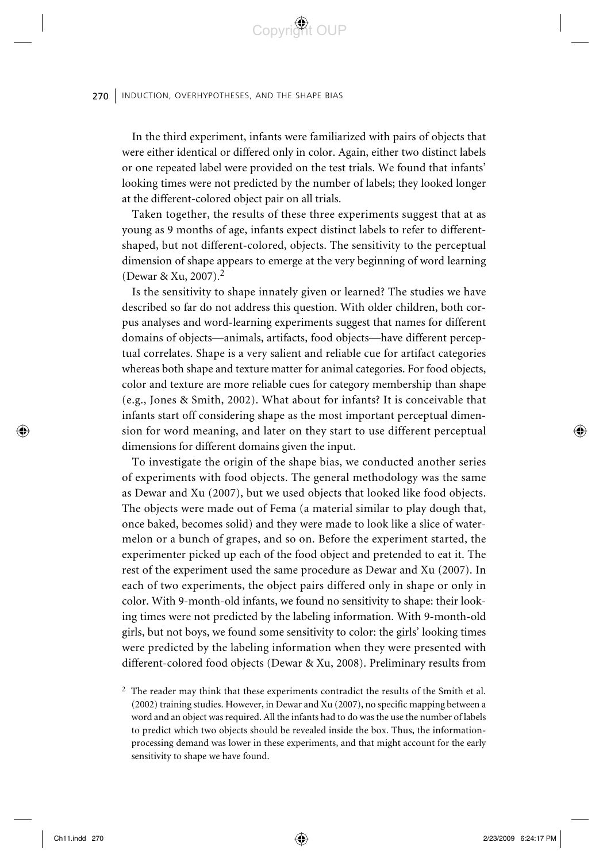In the third experiment, infants were familiarized with pairs of objects that were either identical or differed only in color. Again, either two distinct labels or one repeated label were provided on the test trials. We found that infants' looking times were not predicted by the number of labels; they looked longer at the different-colored object pair on all trials.

Copyright OUP

Taken together, the results of these three experiments suggest that at as young as 9 months of age, infants expect distinct labels to refer to differentshaped, but not different-colored, objects. The sensitivity to the perceptual dimension of shape appears to emerge at the very beginning of word learning (Dewar & Xu, 2007).2

Is the sensitivity to shape innately given or learned? The studies we have described so far do not address this question. With older children, both corpus analyses and word-learning experiments suggest that names for different domains of objects—animals, artifacts, food objects—have different perceptual correlates. Shape is a very salient and reliable cue for artifact categories whereas both shape and texture matter for animal categories. For food objects, color and texture are more reliable cues for category membership than shape (e.g., Jones & Smith, 2002). What about for infants? It is conceivable that infants start off considering shape as the most important perceptual dimension for word meaning, and later on they start to use different perceptual dimensions for different domains given the input.

To investigate the origin of the shape bias, we conducted another series of experiments with food objects. The general methodology was the same as Dewar and Xu (2007), but we used objects that looked like food objects. The objects were made out of Fema (a material similar to play dough that, once baked, becomes solid) and they were made to look like a slice of watermelon or a bunch of grapes, and so on. Before the experiment started, the experimenter picked up each of the food object and pretended to eat it. The rest of the experiment used the same procedure as Dewar and Xu (2007). In each of two experiments, the object pairs differed only in shape or only in color. With 9-month-old infants, we found no sensitivity to shape: their looking times were not predicted by the labeling information. With 9-month-old girls, but not boys, we found some sensitivity to color: the girls' looking times were predicted by the labeling information when they were presented with different-colored food objects (Dewar & Xu, 2008). Preliminary results from

◈

<sup>2</sup> The reader may think that these experiments contradict the results of the Smith et al. (2002) training studies. However, in Dewar and Xu (2007), no specific mapping between a word and an object was required. All the infants had to do was the use the number of labels to predict which two objects should be revealed inside the box. Thus, the informationprocessing demand was lower in these experiments, and that might account for the early sensitivity to shape we have found.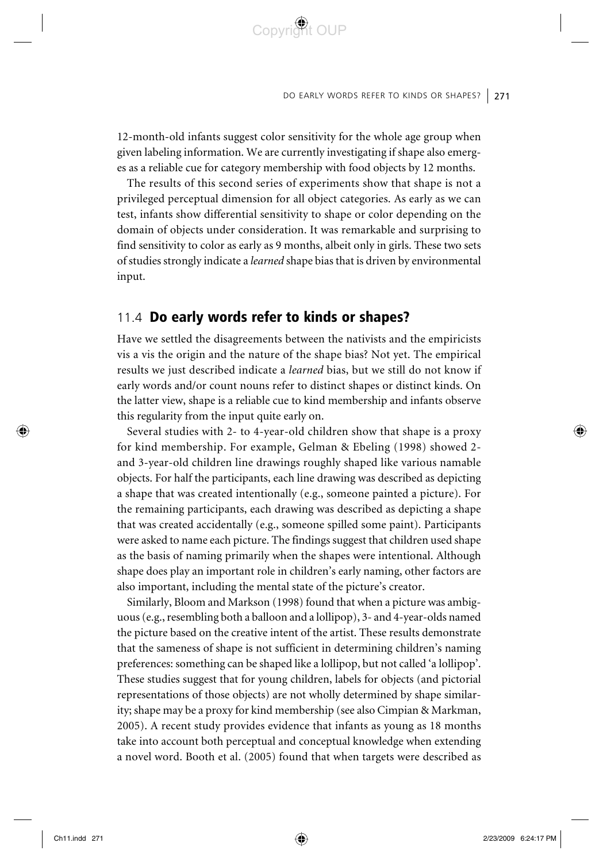12-month-old infants suggest color sensitivity for the whole age group when given labeling information. We are currently investigating if shape also emerges as a reliable cue for category membership with food objects by 12 months.

Copyright OUP

The results of this second series of experiments show that shape is not a privileged perceptual dimension for all object categories. As early as we can test, infants show differential sensitivity to shape or color depending on the domain of objects under consideration. It was remarkable and surprising to find sensitivity to color as early as 9 months, albeit only in girls. These two sets of studies strongly indicate a *learned* shape bias that is driven by environmental input.

### 11.4 Do early words refer to kinds or shapes?

Have we settled the disagreements between the nativists and the empiricists vis a vis the origin and the nature of the shape bias? Not yet. The empirical results we just described indicate a *learned* bias, but we still do not know if early words and/or count nouns refer to distinct shapes or distinct kinds. On the latter view, shape is a reliable cue to kind membership and infants observe this regularity from the input quite early on.

Several studies with 2- to 4-year-old children show that shape is a proxy for kind membership. For example, Gelman & Ebeling (1998) showed 2 and 3-year-old children line drawings roughly shaped like various namable objects. For half the participants, each line drawing was described as depicting a shape that was created intentionally (e.g., someone painted a picture). For the remaining participants, each drawing was described as depicting a shape that was created accidentally (e.g., someone spilled some paint). Participants were asked to name each picture. The findings suggest that children used shape as the basis of naming primarily when the shapes were intentional. Although shape does play an important role in children's early naming, other factors are also important, including the mental state of the picture's creator.

Similarly, Bloom and Markson (1998) found that when a picture was ambiguous (e.g., resembling both a balloon and a lollipop), 3- and 4-year-olds named the picture based on the creative intent of the artist. These results demonstrate that the sameness of shape is not sufficient in determining children's naming preferences: something can be shaped like a lollipop, but not called 'a lollipop'. These studies suggest that for young children, labels for objects (and pictorial representations of those objects) are not wholly determined by shape similarity; shape may be a proxy for kind membership (see also Cimpian & Markman, 2005). A recent study provides evidence that infants as young as 18 months take into account both perceptual and conceptual knowledge when extending a novel word. Booth et al. (2005) found that when targets were described as

⊕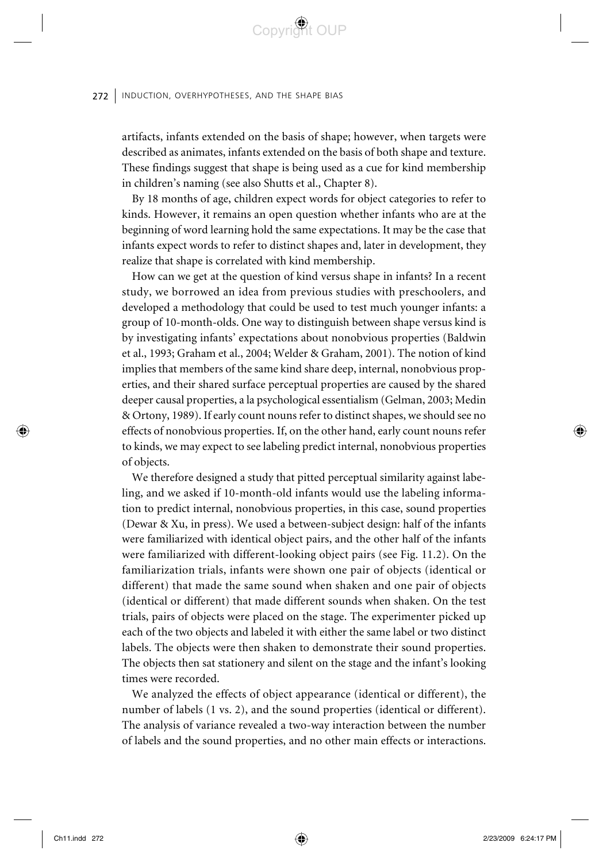artifacts, infants extended on the basis of shape; however, when targets were described as animates, infants extended on the basis of both shape and texture. These findings suggest that shape is being used as a cue for kind membership in children's naming (see also Shutts et al., Chapter 8).

Convrict OUP

By 18 months of age, children expect words for object categories to refer to kinds. However, it remains an open question whether infants who are at the beginning of word learning hold the same expectations. It may be the case that infants expect words to refer to distinct shapes and, later in development, they realize that shape is correlated with kind membership.

How can we get at the question of kind versus shape in infants? In a recent study, we borrowed an idea from previous studies with preschoolers, and developed a methodology that could be used to test much younger infants: a group of 10-month-olds. One way to distinguish between shape versus kind is by investigating infants' expectations about nonobvious properties (Baldwin et al., 1993; Graham et al., 2004; Welder & Graham, 2001). The notion of kind implies that members of the same kind share deep, internal, nonobvious properties, and their shared surface perceptual properties are caused by the shared deeper causal properties, a la psychological essentialism (Gelman, 2003; Medin & Ortony, 1989). If early count nouns refer to distinct shapes, we should see no effects of nonobvious properties. If, on the other hand, early count nouns refer to kinds, we may expect to see labeling predict internal, nonobvious properties of objects.

We therefore designed a study that pitted perceptual similarity against labeling, and we asked if 10-month-old infants would use the labeling information to predict internal, nonobvious properties, in this case, sound properties (Dewar & Xu, in press). We used a between-subject design: half of the infants were familiarized with identical object pairs, and the other half of the infants were familiarized with different-looking object pairs (see Fig. 11.2). On the familiarization trials, infants were shown one pair of objects (identical or different) that made the same sound when shaken and one pair of objects (identical or different) that made different sounds when shaken. On the test trials, pairs of objects were placed on the stage. The experimenter picked up each of the two objects and labeled it with either the same label or two distinct labels. The objects were then shaken to demonstrate their sound properties. The objects then sat stationery and silent on the stage and the infant's looking times were recorded.

We analyzed the effects of object appearance (identical or different), the number of labels (1 vs. 2), and the sound properties (identical or different). The analysis of variance revealed a two-way interaction between the number of labels and the sound properties, and no other main effects or interactions.

⊕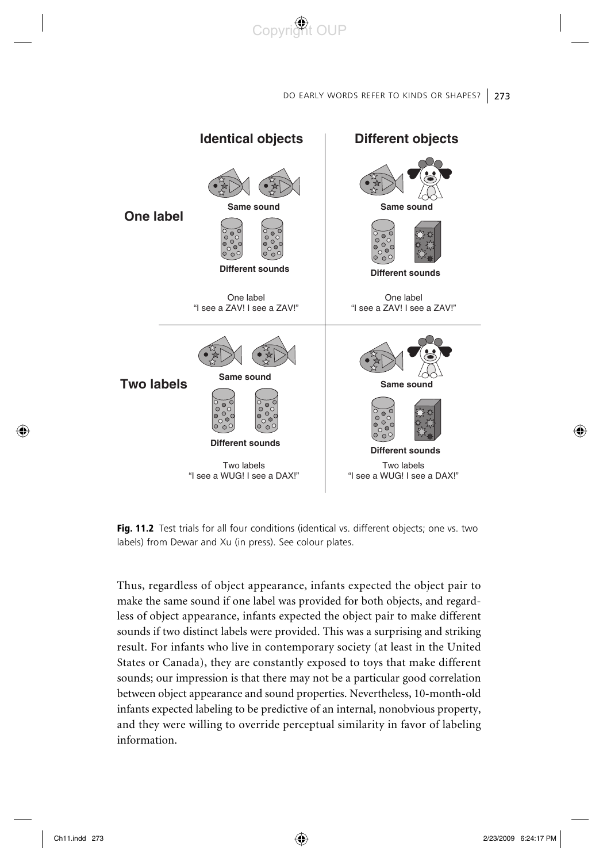

Fig. 11.2 Test trials for all four conditions (identical vs. different objects; one vs. two labels) from Dewar and Xu (in press). See colour plates.

Thus, regardless of object appearance, infants expected the object pair to make the same sound if one label was provided for both objects, and regardless of object appearance, infants expected the object pair to make different sounds if two distinct labels were provided. This was a surprising and striking result. For infants who live in contemporary society (at least in the United States or Canada), they are constantly exposed to toys that make different sounds; our impression is that there may not be a particular good correlation between object appearance and sound properties. Nevertheless, 10-month-old infants expected labeling to be predictive of an internal, nonobvious property, and they were willing to override perceptual similarity in favor of labeling information.

◈

◈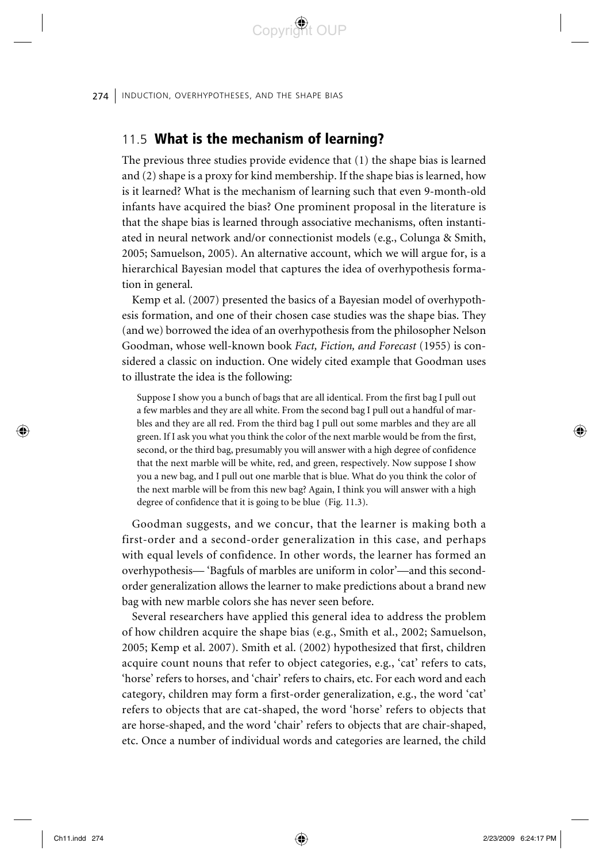### 11.5 What is the mechanism of learning?

The previous three studies provide evidence that (1) the shape bias is learned and (2) shape is a proxy for kind membership. If the shape bias is learned, how is it learned? What is the mechanism of learning such that even 9-month-old infants have acquired the bias? One prominent proposal in the literature is that the shape bias is learned through associative mechanisms, often instantiated in neural network and/or connectionist models (e.g., Colunga & Smith, 2005; Samuelson, 2005). An alternative account, which we will argue for, is a hierarchical Bayesian model that captures the idea of overhypothesis formation in general.

Convrict OUP

Kemp et al. (2007) presented the basics of a Bayesian model of overhypothesis formation, and one of their chosen case studies was the shape bias. They (and we) borrowed the idea of an overhypothesis from the philosopher Nelson Goodman, whose well-known book *Fact, Fiction, and Forecast* (1955) is considered a classic on induction. One widely cited example that Goodman uses to illustrate the idea is the following:

Suppose I show you a bunch of bags that are all identical. From the first bag I pull out a few marbles and they are all white. From the second bag I pull out a handful of marbles and they are all red. From the third bag I pull out some marbles and they are all green. If I ask you what you think the color of the next marble would be from the first, second, or the third bag, presumably you will answer with a high degree of confidence that the next marble will be white, red, and green, respectively. Now suppose I show you a new bag, and I pull out one marble that is blue. What do you think the color of the next marble will be from this new bag? Again, I think you will answer with a high degree of confidence that it is going to be blue (Fig. 11.3).

Goodman suggests, and we concur, that the learner is making both a first-order and a second-order generalization in this case, and perhaps with equal levels of confidence. In other words, the learner has formed an overhypothesis— 'Bagfuls of marbles are uniform in color'—and this secondorder generalization allows the learner to make predictions about a brand new bag with new marble colors she has never seen before.

Several researchers have applied this general idea to address the problem of how children acquire the shape bias (e.g., Smith et al., 2002; Samuelson, 2005; Kemp et al. 2007). Smith et al. (2002) hypothesized that first, children acquire count nouns that refer to object categories, e.g., 'cat' refers to cats, 'horse' refers to horses, and 'chair' refers to chairs, etc. For each word and each category, children may form a first-order generalization, e.g., the word 'cat' refers to objects that are cat-shaped, the word 'horse' refers to objects that are horse-shaped, and the word 'chair' refers to objects that are chair-shaped, etc. Once a number of individual words and categories are learned, the child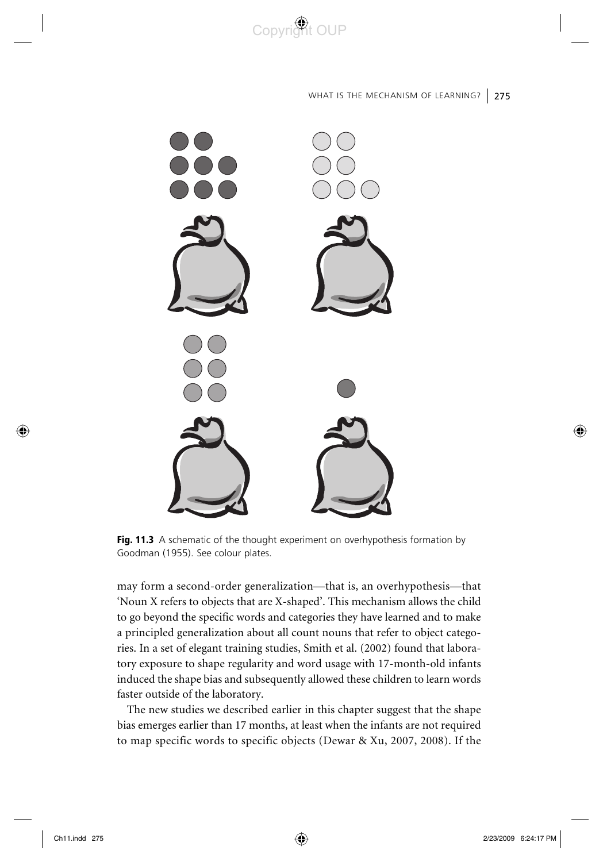

WHAT IS THE MECHANISM OF LEARNING? 275



**Fig. 11.3** A schematic of the thought experiment on overhypothesis formation by Goodman (1955). See colour plates.

may form a second-order generalization—that is, an overhypothesis—that 'Noun X refers to objects that are X-shaped'. This mechanism allows the child to go beyond the specific words and categories they have learned and to make a principled generalization about all count nouns that refer to object categories. In a set of elegant training studies, Smith et al. (2002) found that laboratory exposure to shape regularity and word usage with 17-month-old infants induced the shape bias and subsequently allowed these children to learn words faster outside of the laboratory.

The new studies we described earlier in this chapter suggest that the shape bias emerges earlier than 17 months, at least when the infants are not required to map specific words to specific objects (Dewar & Xu, 2007, 2008). If the

◈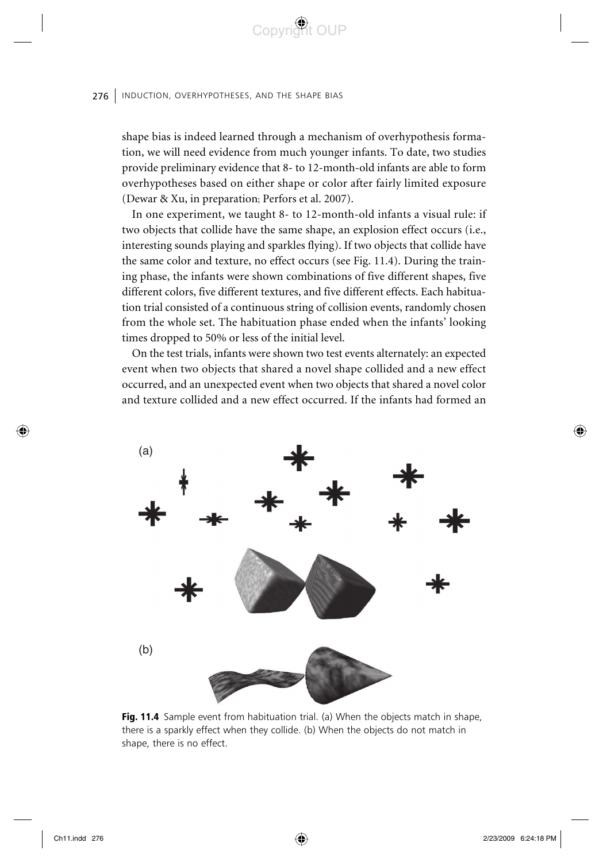shape bias is indeed learned through a mechanism of overhypothesis formation, we will need evidence from much younger infants. To date, two studies provide preliminary evidence that 8- to 12-month-old infants are able to form overhypotheses based on either shape or color after fairly limited exposure (Dewar & Xu, in preparation; Perfors et al. 2007).

Copyright OUP

In one experiment, we taught 8- to 12-month-old infants a visual rule: if two objects that collide have the same shape, an explosion effect occurs (i.e., interesting sounds playing and sparkles flying). If two objects that collide have the same color and texture, no effect occurs (see Fig. 11.4). During the training phase, the infants were shown combinations of five different shapes, five different colors, five different textures, and five different effects. Each habituation trial consisted of a continuous string of collision events, randomly chosen from the whole set. The habituation phase ended when the infants' looking times dropped to 50% or less of the initial level.

On the test trials, infants were shown two test events alternately: an expected event when two objects that shared a novel shape collided and a new effect occurred, and an unexpected event when two objects that shared a novel color and texture collided and a new effect occurred. If the infants had formed an



Fig. 11.4 Sample event from habituation trial. (a) When the objects match in shape, there is a sparkly effect when they collide. (b) When the objects do not match in shape, there is no effect.

◈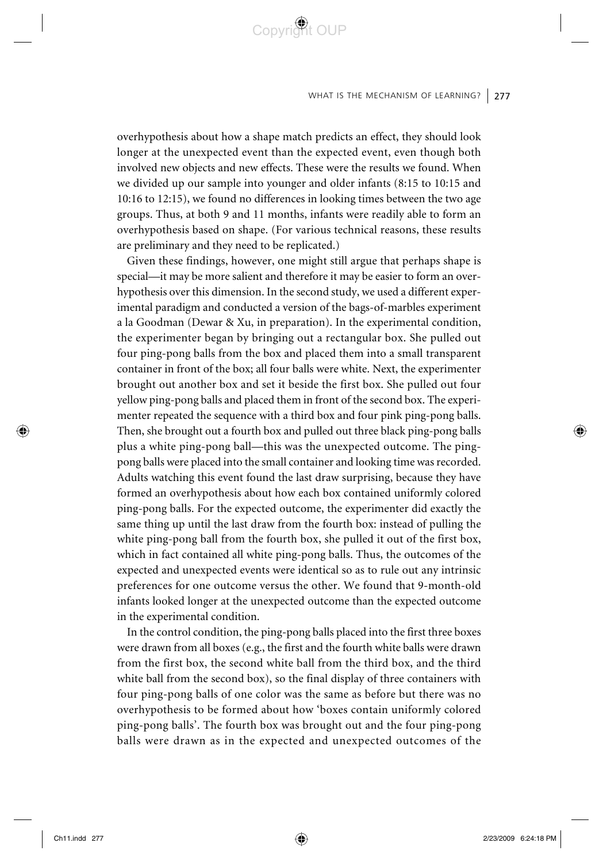#### WHAT IS THE MECHANISM OF LEARNING?  $\mid$  277

overhypothesis about how a shape match predicts an effect, they should look longer at the unexpected event than the expected event, even though both involved new objects and new effects. These were the results we found. When we divided up our sample into younger and older infants (8:15 to 10:15 and 10:16 to 12:15), we found no differences in looking times between the two age groups. Thus, at both 9 and 11 months, infants were readily able to form an overhypothesis based on shape. (For various technical reasons, these results are preliminary and they need to be replicated.)

Copyright OUP

Given these findings, however, one might still argue that perhaps shape is special—it may be more salient and therefore it may be easier to form an overhypothesis over this dimension. In the second study, we used a different experimental paradigm and conducted a version of the bags-of-marbles experiment a la Goodman (Dewar & Xu, in preparation). In the experimental condition, the experimenter began by bringing out a rectangular box. She pulled out four ping-pong balls from the box and placed them into a small transparent container in front of the box; all four balls were white. Next, the experimenter brought out another box and set it beside the first box. She pulled out four yellow ping-pong balls and placed them in front of the second box. The experimenter repeated the sequence with a third box and four pink ping-pong balls. Then, she brought out a fourth box and pulled out three black ping-pong balls plus a white ping-pong ball—this was the unexpected outcome. The pingpong balls were placed into the small container and looking time was recorded. Adults watching this event found the last draw surprising, because they have formed an overhypothesis about how each box contained uniformly colored ping-pong balls. For the expected outcome, the experimenter did exactly the same thing up until the last draw from the fourth box: instead of pulling the white ping-pong ball from the fourth box, she pulled it out of the first box, which in fact contained all white ping-pong balls. Thus, the outcomes of the expected and unexpected events were identical so as to rule out any intrinsic preferences for one outcome versus the other. We found that 9-month-old infants looked longer at the unexpected outcome than the expected outcome in the experimental condition.

In the control condition, the ping-pong balls placed into the first three boxes were drawn from all boxes (e.g., the first and the fourth white balls were drawn from the first box, the second white ball from the third box, and the third white ball from the second box), so the final display of three containers with four ping-pong balls of one color was the same as before but there was no overhypothesis to be formed about how 'boxes contain uniformly colored ping-pong balls'. The fourth box was brought out and the four ping-pong balls were drawn as in the expected and unexpected outcomes of the

⊕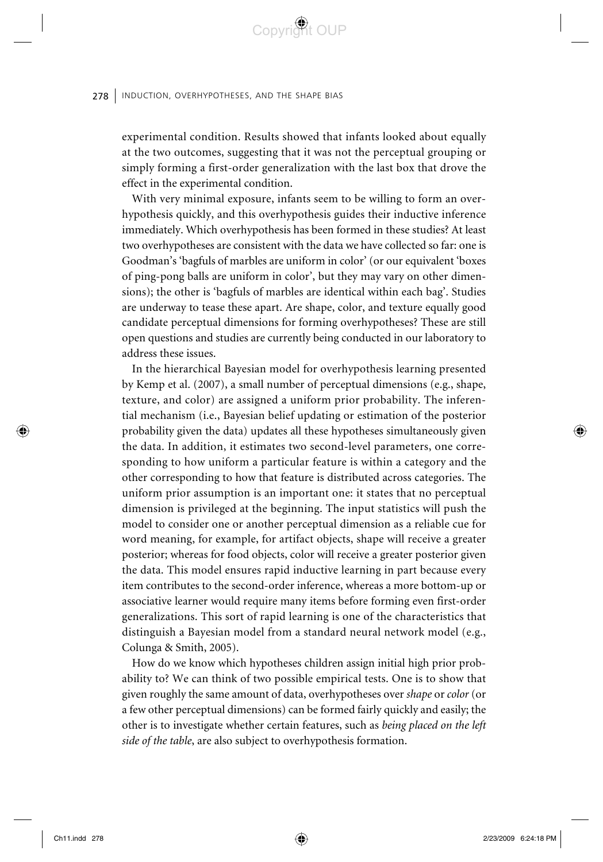experimental condition. Results showed that infants looked about equally at the two outcomes, suggesting that it was not the perceptual grouping or simply forming a first-order generalization with the last box that drove the effect in the experimental condition.

Convrict OUP

With very minimal exposure, infants seem to be willing to form an overhypothesis quickly, and this overhypothesis guides their inductive inference immediately. Which overhypothesis has been formed in these studies? At least two overhypotheses are consistent with the data we have collected so far: one is Goodman's 'bagfuls of marbles are uniform in color' (or our equivalent 'boxes of ping-pong balls are uniform in color', but they may vary on other dimensions); the other is 'bagfuls of marbles are identical within each bag'. Studies are underway to tease these apart. Are shape, color, and texture equally good candidate perceptual dimensions for forming overhypotheses? These are still open questions and studies are currently being conducted in our laboratory to address these issues.

In the hierarchical Bayesian model for overhypothesis learning presented by Kemp et al. (2007), a small number of perceptual dimensions (e.g., shape, texture, and color) are assigned a uniform prior probability. The inferential mechanism (i.e., Bayesian belief updating or estimation of the posterior probability given the data) updates all these hypotheses simultaneously given the data. In addition, it estimates two second-level parameters, one corresponding to how uniform a particular feature is within a category and the other corresponding to how that feature is distributed across categories. The uniform prior assumption is an important one: it states that no perceptual dimension is privileged at the beginning. The input statistics will push the model to consider one or another perceptual dimension as a reliable cue for word meaning, for example, for artifact objects, shape will receive a greater posterior; whereas for food objects, color will receive a greater posterior given the data. This model ensures rapid inductive learning in part because every item contributes to the second-order inference, whereas a more bottom-up or associative learner would require many items before forming even first-order generalizations. This sort of rapid learning is one of the characteristics that distinguish a Bayesian model from a standard neural network model (e.g., Colunga & Smith, 2005).

How do we know which hypotheses children assign initial high prior probability to? We can think of two possible empirical tests. One is to show that given roughly the same amount of data, overhypotheses over *shape* or *color* (or a few other perceptual dimensions) can be formed fairly quickly and easily; the other is to investigate whether certain features, such as *being placed on the left side of the table*, are also subject to overhypothesis formation.

⊕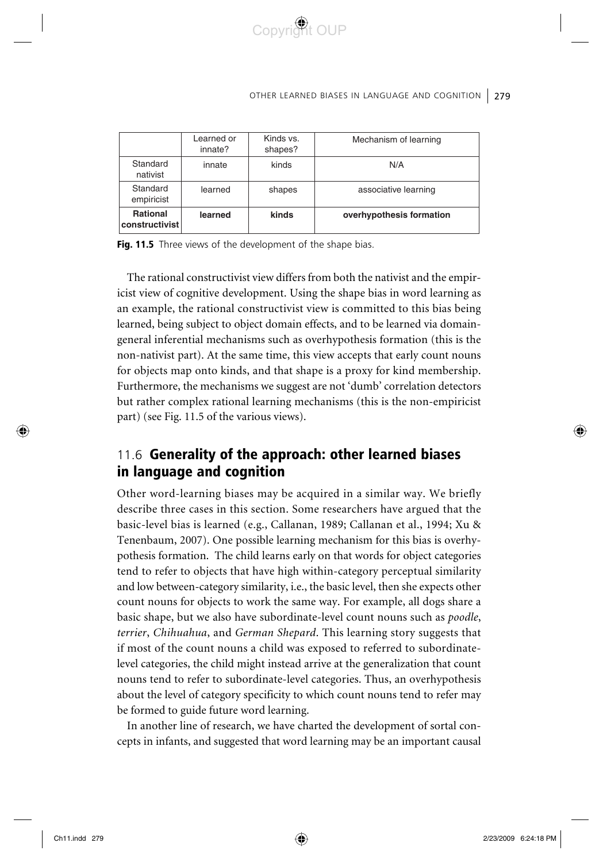#### OTHER LEARNED BIASES IN LANGUAGE AND COGNITION 279

|                                   | Learned or<br>innate? | Kinds vs.<br>shapes? | Mechanism of learning    |
|-----------------------------------|-----------------------|----------------------|--------------------------|
| Standard<br>nativist              | innate                | kinds                | N/A                      |
| Standard<br>empiricist            | learned               | shapes               | associative learning     |
| <b>Rational</b><br>constructivist | learned               | kinds                | overhypothesis formation |

Copyright OUP

Fig. 11.5 Three views of the development of the shape bias.

The rational constructivist view differs from both the nativist and the empiricist view of cognitive development. Using the shape bias in word learning as an example, the rational constructivist view is committed to this bias being learned, being subject to object domain effects, and to be learned via domaingeneral inferential mechanisms such as overhypothesis formation (this is the non-nativist part). At the same time, this view accepts that early count nouns for objects map onto kinds, and that shape is a proxy for kind membership. Furthermore, the mechanisms we suggest are not 'dumb' correlation detectors but rather complex rational learning mechanisms (this is the non-empiricist part) (see Fig. 11.5 of the various views).

# 11.6 Generality of the approach: other learned biases in language and cognition

Other word-learning biases may be acquired in a similar way. We briefly describe three cases in this section. Some researchers have argued that the basic-level bias is learned (e.g., Callanan, 1989; Callanan et al., 1994; Xu & Tenenbaum, 2007). One possible learning mechanism for this bias is overhypothesis formation. The child learns early on that words for object categories tend to refer to objects that have high within-category perceptual similarity and low between-category similarity, i.e., the basic level, then she expects other count nouns for objects to work the same way. For example, all dogs share a basic shape, but we also have subordinate-level count nouns such as *poodle*, *terrier*, *Chihuahua*, and *German Shepard*. This learning story suggests that if most of the count nouns a child was exposed to referred to subordinatelevel categories, the child might instead arrive at the generalization that count nouns tend to refer to subordinate-level categories. Thus, an overhypothesis about the level of category specificity to which count nouns tend to refer may be formed to guide future word learning.

In another line of research, we have charted the development of sortal concepts in infants, and suggested that word learning may be an important causal

⊕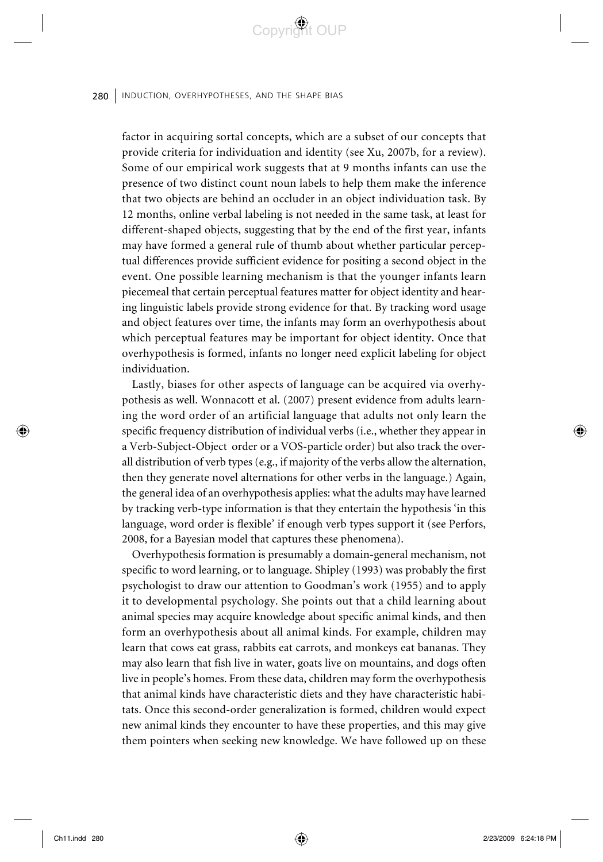factor in acquiring sortal concepts, which are a subset of our concepts that provide criteria for individuation and identity (see Xu, 2007b, for a review). Some of our empirical work suggests that at 9 months infants can use the presence of two distinct count noun labels to help them make the inference that two objects are behind an occluder in an object individuation task. By 12 months, online verbal labeling is not needed in the same task, at least for different-shaped objects, suggesting that by the end of the first year, infants may have formed a general rule of thumb about whether particular perceptual differences provide sufficient evidence for positing a second object in the event. One possible learning mechanism is that the younger infants learn piecemeal that certain perceptual features matter for object identity and hearing linguistic labels provide strong evidence for that. By tracking word usage and object features over time, the infants may form an overhypothesis about which perceptual features may be important for object identity. Once that overhypothesis is formed, infants no longer need explicit labeling for object individuation.

Convri<sup>ch</sup>t OUP

Lastly, biases for other aspects of language can be acquired via overhypothesis as well. Wonnacott et al. (2007) present evidence from adults learning the word order of an artificial language that adults not only learn the specific frequency distribution of individual verbs (i.e., whether they appear in a Verb-Subject-Object order or a VOS-particle order) but also track the overall distribution of verb types (e.g., if majority of the verbs allow the alternation, then they generate novel alternations for other verbs in the language.) Again, the general idea of an overhypothesis applies: what the adults may have learned by tracking verb-type information is that they entertain the hypothesis 'in this language, word order is flexible' if enough verb types support it (see Perfors, 2008, for a Bayesian model that captures these phenomena).

Overhypothesis formation is presumably a domain-general mechanism, not specific to word learning, or to language. Shipley (1993) was probably the first psychologist to draw our attention to Goodman's work (1955) and to apply it to developmental psychology. She points out that a child learning about animal species may acquire knowledge about specific animal kinds, and then form an overhypothesis about all animal kinds. For example, children may learn that cows eat grass, rabbits eat carrots, and monkeys eat bananas. They may also learn that fish live in water, goats live on mountains, and dogs often live in people's homes. From these data, children may form the overhypothesis that animal kinds have characteristic diets and they have characteristic habitats. Once this second-order generalization is formed, children would expect new animal kinds they encounter to have these properties, and this may give them pointers when seeking new knowledge. We have followed up on these

⊕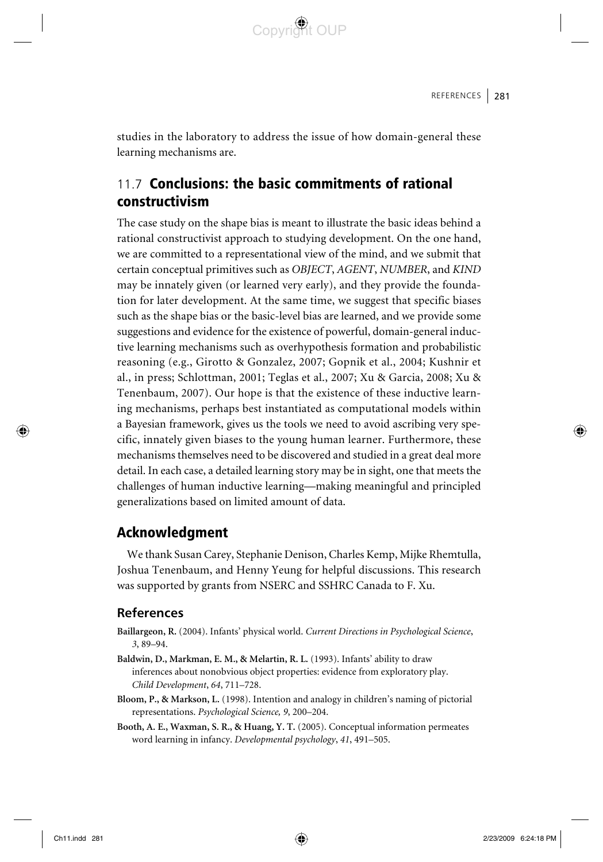

studies in the laboratory to address the issue of how domain-general these learning mechanisms are.

# 11.7 Conclusions: the basic commitments of rational constructivism

The case study on the shape bias is meant to illustrate the basic ideas behind a rational constructivist approach to studying development. On the one hand, we are committed to a representational view of the mind, and we submit that certain conceptual primitives such as *OBJECT*, *AGENT*, *NUMBER*, and *KIND* may be innately given (or learned very early), and they provide the foundation for later development. At the same time, we suggest that specific biases such as the shape bias or the basic-level bias are learned, and we provide some suggestions and evidence for the existence of powerful, domain-general inductive learning mechanisms such as overhypothesis formation and probabilistic reasoning (e.g., Girotto & Gonzalez, 2007; Gopnik et al., 2004; Kushnir et al., in press; Schlottman, 2001; Teglas et al., 2007; Xu & Garcia, 2008; Xu & Tenenbaum, 2007). Our hope is that the existence of these inductive learning mechanisms, perhaps best instantiated as computational models within a Bayesian framework, gives us the tools we need to avoid ascribing very specific, innately given biases to the young human learner. Furthermore, these mechanisms themselves need to be discovered and studied in a great deal more detail. In each case, a detailed learning story may be in sight, one that meets the challenges of human inductive learning—making meaningful and principled generalizations based on limited amount of data.

### Acknowledgment

We thank Susan Carey, Stephanie Denison, Charles Kemp, Mijke Rhemtulla, Joshua Tenenbaum, and Henny Yeung for helpful discussions. This research was supported by grants from NSERC and SSHRC Canada to F. Xu.

### **References**

- **Baillargeon, R.** (2004). Infants' physical world. *Current Directions in Psychological Science*, *3*, 89–94.
- **Baldwin, D., Markman, E. M., & Melartin, R. L.** (1993). Infants' ability to draw inferences about nonobvious object properties: evidence from exploratory play. *Child Development*, *64*, 711–728.
- **Bloom, P., & Markson, L.** (1998). Intention and analogy in children's naming of pictorial representations. *Psychological Science, 9*, 200–204.
- **Booth, A. E., Waxman, S. R., & Huang, Y. T.** (2005). Conceptual information permeates word learning in infancy. *Developmental psychology*, *41*, 491–505.

⊕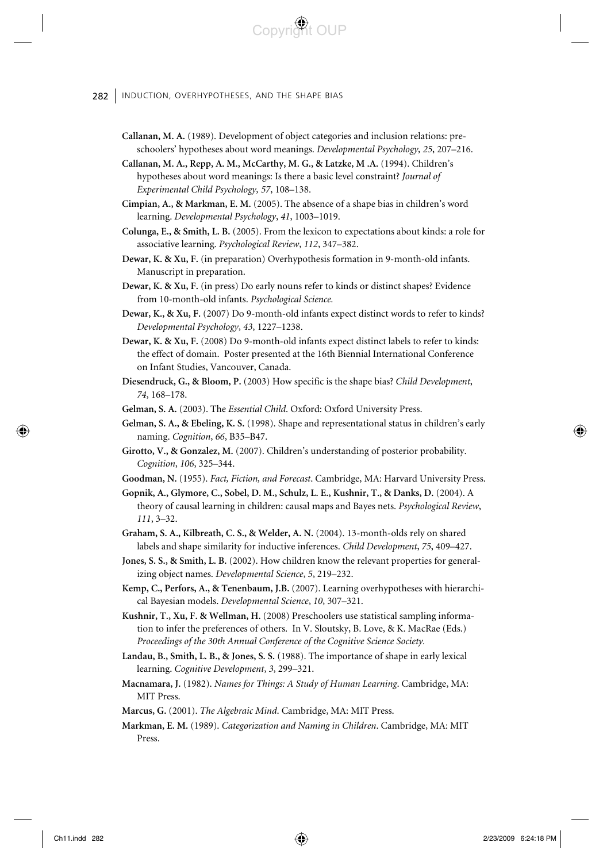282 | INDUCTION, OVERHYPOTHESES, AND THE SHAPE BIAS

**Callanan, M. A.** (1989). Development of object categories and inclusion relations: preschoolers' hypotheses about word meanings. *Developmental Psychology, 25*, 207–216.

Copyri<sup>n</sup>t OUP

- **Callanan, M. A., Repp, A. M., McCarthy, M. G., & Latzke, M .A.** (1994). Children's hypotheses about word meanings: Is there a basic level constraint? *Journal of Experimental Child Psychology, 57*, 108–138.
- **Cimpian, A., & Markman, E. M.** (2005). The absence of a shape bias in children's word learning. *Developmental Psychology*, *41*, 1003–1019.
- **Colunga, E., & Smith, L. B.** (2005). From the lexicon to expectations about kinds: a role for associative learning. *Psychological Review*, *112*, 347–382.
- **Dewar, K. & Xu, F.** (in preparation) Overhypothesis formation in 9-month-old infants. Manuscript in preparation.
- **Dewar, K. & Xu, F.** (in press) Do early nouns refer to kinds or distinct shapes? Evidence from 10-month-old infants. *Psychological Science.*
- **Dewar, K., & Xu, F.** (2007) Do 9-month-old infants expect distinct words to refer to kinds? *Developmental Psychology*, *43*, 1227–1238.
- **Dewar, K. & Xu, F.** (2008) Do 9-month-old infants expect distinct labels to refer to kinds: the effect of domain. Poster presented at the 16th Biennial International Conference on Infant Studies, Vancouver, Canada.
- **Diesendruck, G., & Bloom, P.** (2003) How specific is the shape bias? *Child Development*, *74*, 168–178.

**Gelman, S. A.** (2003). The *Essential Child*. Oxford: Oxford University Press.

- **Gelman, S. A., & Ebeling, K. S.** (1998). Shape and representational status in children's early naming. *Cognition*, *66*, B35–B47.
- **Girotto, V., & Gonzalez, M.** (2007). Children's understanding of posterior probability. *Cognition*, *106*, 325–344.
- **Goodman, N.** (1955). *Fact, Fiction, and Forecast*. Cambridge, MA: Harvard University Press.
- **Gopnik, A., Glymore, C., Sobel, D. M., Schulz, L. E., Kushnir, T., & Danks, D.** (2004). A theory of causal learning in children: causal maps and Bayes nets. *Psychological Review*, *111*, 3–32.
- **Graham, S. A., Kilbreath, C. S., & Welder, A. N.** (2004). 13-month-olds rely on shared labels and shape similarity for inductive inferences. *Child Development*, *75*, 409–427.
- **Jones, S. S., & Smith, L. B.** (2002). How children know the relevant properties for generalizing object names. *Developmental Science*, *5*, 219–232.
- **Kemp, C., Perfors, A., & Tenenbaum, J.B.** (2007). Learning overhypotheses with hierarchical Bayesian models. *Developmental Science*, *10*, 307–321.
- **Kushnir, T., Xu, F. & Wellman, H.** (2008) Preschoolers use statistical sampling information to infer the preferences of others. In V. Sloutsky, B. Love, & K. MacRae (Eds.) *Proceedings of the 30th Annual Conference of the Cognitive Science Society.*
- **Landau, B., Smith, L. B., & Jones, S. S.** (1988). The importance of shape in early lexical learning. *Cognitive Development*, *3*, 299–321.
- **Macnamara, J.** (1982). *Names for Things: A Study of Human Learning*. Cambridge, MA: MIT Press.

**Marcus, G.** (2001). *The Algebraic Mind*. Cambridge, MA: MIT Press.

**Markman, E. M.** (1989). *Categorization and Naming in Children*. Cambridge, MA: MIT Press.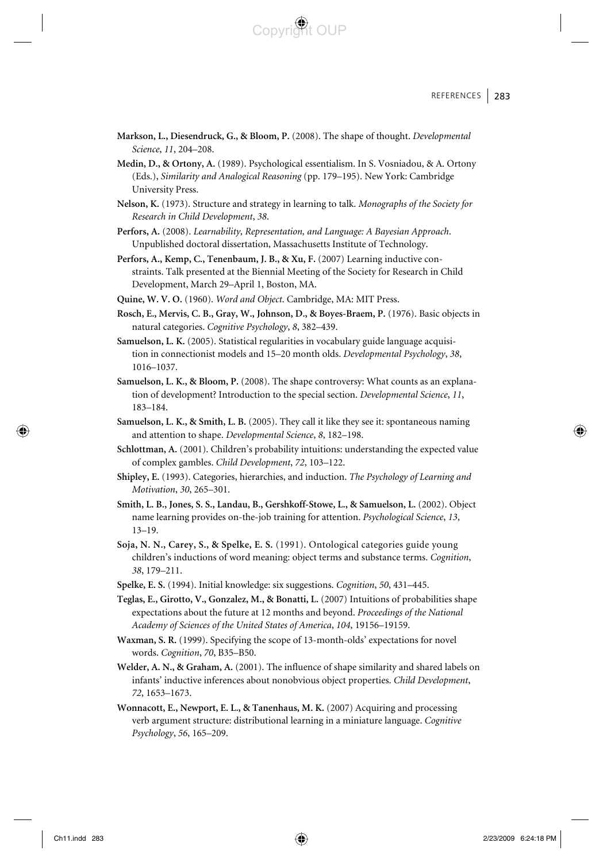#### REFERENCES | 283

Copyright OUP

- **Markson, L., Diesendruck, G., & Bloom, P.** (2008). The shape of thought. *Developmental Science*, *11*, 204–208.
- **Medin, D., & Ortony, A.** (1989). Psychological essentialism. In S. Vosniadou, & A. Ortony (Eds.), *Similarity and Analogical Reasoning* (pp. 179–195). New York: Cambridge University Press.
- **Nelson, K.** (1973). Structure and strategy in learning to talk. *Monographs of the Society for Research in Child Development*, *38*.
- **Perfors, A.** (2008). *Learnability, Representation, and Language: A Bayesian Approach*. Unpublished doctoral dissertation, Massachusetts Institute of Technology.
- **Perfors, A., Kemp, C., Tenenbaum, J. B., & Xu, F.** (2007) Learning inductive constraints. Talk presented at the Biennial Meeting of the Society for Research in Child Development, March 29–April 1, Boston, MA.
- **Quine, W. V. O.** (1960). *Word and Object*. Cambridge, MA: MIT Press.
- **Rosch, E., Mervis, C. B., Gray, W., Johnson, D., & Boyes-Braem, P.** (1976). Basic objects in natural categories. *Cognitive Psychology*, *8*, 382–439.
- **Samuelson, L. K.** (2005). Statistical regularities in vocabulary guide language acquisition in connectionist models and 15–20 month olds. *Developmental Psychology*, *38*, 1016–1037.
- **Samuelson, L. K., & Bloom, P.** (2008). The shape controversy: What counts as an explanation of development? Introduction to the special section. *Developmental Science*, *11*, 183–184.
- **Samuelson, L. K., & Smith, L. B.** (2005). They call it like they see it: spontaneous naming and attention to shape. *Developmental Science*, *8*, 182–198.
- **Schlottman, A.** (2001). Children's probability intuitions: understanding the expected value of complex gambles. *Child Development*, *72*, 103–122.
- **Shipley, E.** (1993). Categories, hierarchies, and induction. *The Psychology of Learning and Motivation*, *30*, 265–301.
- **Smith, L. B., Jones, S. S., Landau, B., Gershkoff-Stowe, L., & Samuelson, L.** (2002). Object name learning provides on-the-job training for attention. *Psychological Science*, *13*, 13–19.
- **Soja, N. N., Carey, S., & Spelke, E. S.** (1991). Ontological categories guide young children's inductions of word meaning: object terms and substance terms. *Cognition*, *38*, 179–211.
- **Spelke, E. S.** (1994). Initial knowledge: six suggestions. *Cognition*, *50*, 431–445.
- **Teglas, E., Girotto, V., Gonzalez, M., & Bonatti, L.** (2007) Intuitions of probabilities shape expectations about the future at 12 months and beyond. *Proceedings of the National Academy of Sciences of the United States of America*, *104*, 19156–19159.
- **Waxman, S. R.** (1999). Specifying the scope of 13-month-olds' expectations for novel words. *Cognition*, *70*, B35–B50.
- **Welder, A. N., & Graham, A.** (2001). The influence of shape similarity and shared labels on infants' inductive inferences about nonobvious object properties. *Child Development*, *72*, 1653–1673.
- **Wonnacott, E., Newport, E. L., & Tanenhaus, M. K.** (2007) Acquiring and processing verb argument structure: distributional learning in a miniature language. *Cognitive Psychology*, *56*, 165–209.